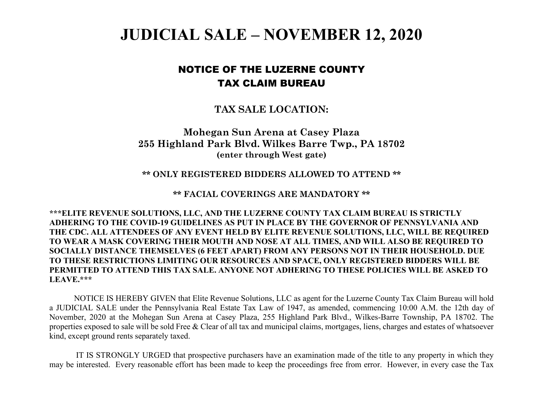# **JUDICIAL SALE – NOVEMBER 12, 2020**

# NOTICE OF THE LUZERNE COUNTY TAX CLAIM BUREAU

## **TAX SALE LOCATION:**

# **Mohegan Sun Arena at Casey Plaza 255 Highland Park Blvd. Wilkes Barre Twp., PA 18702 (enter through West gate)**

### **\*\* ONLY REGISTERED BIDDERS ALLOWED TO ATTEND \*\***

### **\*\* FACIAL COVERINGS ARE MANDATORY \*\***

**\*\*\*ELITE REVENUE SOLUTIONS, LLC, AND THE LUZERNE COUNTY TAX CLAIM BUREAU IS STRICTLY ADHERING TO THE COVID-19 GUIDELINES AS PUT IN PLACE BY THE GOVERNOR OF PENNSYLVANIA AND THE CDC. ALL ATTENDEES OF ANY EVENT HELD BY ELITE REVENUE SOLUTIONS, LLC, WILL BE REQUIRED TO WEAR A MASK COVERING THEIR MOUTH AND NOSE AT ALL TIMES, AND WILL ALSO BE REQUIRED TO SOCIALLY DISTANCE THEMSELVES (6 FEET APART) FROM ANY PERSONS NOT IN THEIR HOUSEHOLD. DUE TO THESE RESTRICTIONS LIMITING OUR RESOURCES AND SPACE, ONLY REGISTERED BIDDERS WILL BE PERMITTED TO ATTEND THIS TAX SALE. ANYONE NOT ADHERING TO THESE POLICIES WILL BE ASKED TO LEAVE.\*\*\***

 NOTICE IS HEREBY GIVEN that Elite Revenue Solutions, LLC as agent for the Luzerne County Tax Claim Bureau will hold a JUDICIAL SALE under the Pennsylvania Real Estate Tax Law of 1947, as amended, commencing 10:00 A.M. the 12th day of November, 2020 at the Mohegan Sun Arena at Casey Plaza, 255 Highland Park Blvd., Wilkes-Barre Township, PA 18702. The properties exposed to sale will be sold Free & Clear of all tax and municipal claims, mortgages, liens, charges and estates of whatsoever kind, except ground rents separately taxed.

 IT IS STRONGLY URGED that prospective purchasers have an examination made of the title to any property in which they may be interested. Every reasonable effort has been made to keep the proceedings free from error. However, in every case the Tax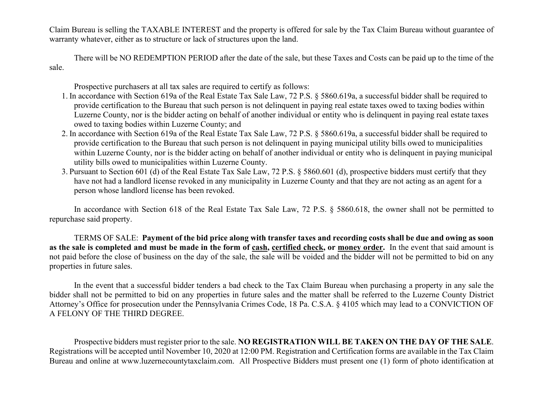Claim Bureau is selling the TAXABLE INTEREST and the property is offered for sale by the Tax Claim Bureau without guarantee of warranty whatever, either as to structure or lack of structures upon the land.

 There will be NO REDEMPTION PERIOD after the date of the sale, but these Taxes and Costs can be paid up to the time of the sale.

Prospective purchasers at all tax sales are required to certify as follows:

- 1. In accordance with Section 619a of the Real Estate Tax Sale Law, 72 P.S. § 5860.619a, a successful bidder shall be required to provide certification to the Bureau that such person is not delinquent in paying real estate taxes owed to taxing bodies within Luzerne County, nor is the bidder acting on behalf of another individual or entity who is delinquent in paying real estate taxes owed to taxing bodies within Luzerne County; and
- 2. In accordance with Section 619a of the Real Estate Tax Sale Law, 72 P.S. § 5860.619a, a successful bidder shall be required to provide certification to the Bureau that such person is not delinquent in paying municipal utility bills owed to municipalities within Luzerne County, nor is the bidder acting on behalf of another individual or entity who is delinquent in paying municipal utility bills owed to municipalities within Luzerne County.
- 3. Pursuant to Section 601 (d) of the Real Estate Tax Sale Law, 72 P.S. § 5860.601 (d), prospective bidders must certify that they have not had a landlord license revoked in any municipality in Luzerne County and that they are not acting as an agent for a person whose landlord license has been revoked.

In accordance with Section 618 of the Real Estate Tax Sale Law, 72 P.S. § 5860.618, the owner shall not be permitted to repurchase said property.

 TERMS OF SALE: **Payment of the bid price along with transfer taxes and recording costs shall be due and owing as soon as the sale is completed and must be made in the form of cash, certified check, or money order.** In the event that said amount is not paid before the close of business on the day of the sale, the sale will be voided and the bidder will not be permitted to bid on any properties in future sales.

In the event that a successful bidder tenders a bad check to the Tax Claim Bureau when purchasing a property in any sale the bidder shall not be permitted to bid on any properties in future sales and the matter shall be referred to the Luzerne County District Attorney's Office for prosecution under the Pennsylvania Crimes Code, 18 Pa. C.S.A. § 4105 which may lead to a CONVICTION OF A FELONY OF THE THIRD DEGREE.

Prospective bidders must register prior to the sale. **NO REGISTRATION WILL BE TAKEN ON THE DAY OF THE SALE**. Registrations will be accepted until November 10, 2020 at 12:00 PM. Registration and Certification forms are available in the Tax Claim Bureau and online at www.luzernecountytaxclaim.com. All Prospective Bidders must present one (1) form of photo identification at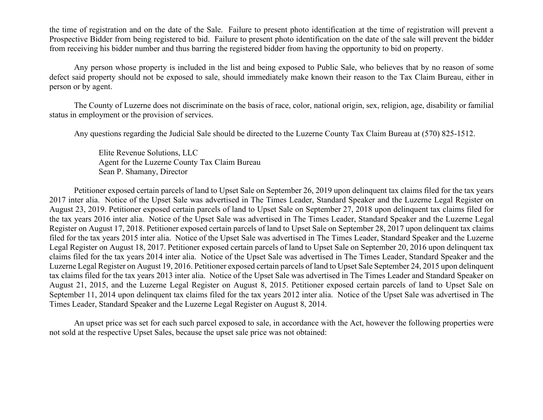the time of registration and on the date of the Sale. Failure to present photo identification at the time of registration will prevent a Prospective Bidder from being registered to bid. Failure to present photo identification on the date of the sale will prevent the bidder from receiving his bidder number and thus barring the registered bidder from having the opportunity to bid on property.

Any person whose property is included in the list and being exposed to Public Sale, who believes that by no reason of some defect said property should not be exposed to sale, should immediately make known their reason to the Tax Claim Bureau, either in person or by agent.

 The County of Luzerne does not discriminate on the basis of race, color, national origin, sex, religion, age, disability or familial status in employment or the provision of services.

Any questions regarding the Judicial Sale should be directed to the Luzerne County Tax Claim Bureau at (570) 825-1512.

Elite Revenue Solutions, LLC Agent for the Luzerne County Tax Claim Bureau Sean P. Shamany, Director

Petitioner exposed certain parcels of land to Upset Sale on September 26, 2019 upon delinquent tax claims filed for the tax years 2017 inter alia. Notice of the Upset Sale was advertised in The Times Leader, Standard Speaker and the Luzerne Legal Register on August 23, 2019. Petitioner exposed certain parcels of land to Upset Sale on September 27, 2018 upon delinquent tax claims filed for the tax years 2016 inter alia. Notice of the Upset Sale was advertised in The Times Leader, Standard Speaker and the Luzerne Legal Register on August 17, 2018. Petitioner exposed certain parcels of land to Upset Sale on September 28, 2017 upon delinquent tax claims filed for the tax years 2015 inter alia. Notice of the Upset Sale was advertised in The Times Leader, Standard Speaker and the Luzerne Legal Register on August 18, 2017. Petitioner exposed certain parcels of land to Upset Sale on September 20, 2016 upon delinquent tax claims filed for the tax years 2014 inter alia. Notice of the Upset Sale was advertised in The Times Leader, Standard Speaker and the Luzerne Legal Register on August 19, 2016. Petitioner exposed certain parcels of land to Upset Sale September 24, 2015 upon delinquent tax claims filed for the tax years 2013 inter alia. Notice of the Upset Sale was advertised in The Times Leader and Standard Speaker on August 21, 2015, and the Luzerne Legal Register on August 8, 2015. Petitioner exposed certain parcels of land to Upset Sale on September 11, 2014 upon delinquent tax claims filed for the tax years 2012 inter alia. Notice of the Upset Sale was advertised in The Times Leader, Standard Speaker and the Luzerne Legal Register on August 8, 2014.

An upset price was set for each such parcel exposed to sale, in accordance with the Act, however the following properties were not sold at the respective Upset Sales, because the upset sale price was not obtained: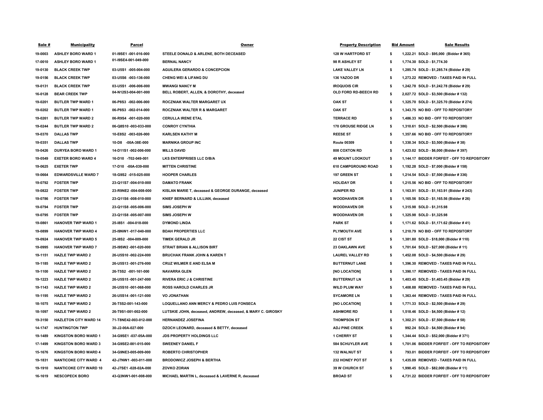| Sale #  | <b>Municipality</b>            |  |
|---------|--------------------------------|--|
| 19-0003 | <b>ASHLEY BORO WARD 1</b>      |  |
|         | 17-0010 ASHLEY BORO WARD 1     |  |
|         | 19-0130 BLACK CREEK TWP        |  |
| 19-0156 | <b>BLACK CREEK TWP</b>         |  |
| 19-0131 | <b>BLACK CREEK TWP</b>         |  |
| 16-0128 | <b>BEAR CREEK TWP</b>          |  |
| 19-0201 | <b>BUTLER TWP WARD 1</b>       |  |
| 19-0202 | <b>BUTLER TWP WARD 1</b>       |  |
| 19-0261 | <b>BUTLER TWP WARD 2</b>       |  |
| 19-0244 | <b>BUTLER TWP WARD 2</b>       |  |
| 19-0370 | <b>DALLAS TWP</b>              |  |
| 19-0351 | <b>DALLAS TWP</b>              |  |
| 19-0426 | <b>DURYEA BORO WARD 1</b>      |  |
| 19-0549 | <b>EXETER BORO WARD 4</b>      |  |
|         | 19-0625 EXETER TWP             |  |
|         | 19-0664 EDWARDSVILLE WARD 7    |  |
|         | 19-0792    FOSTER TWP          |  |
|         | 19-0822 FOSTER TWP             |  |
|         | 19-0786 FOSTER TWP             |  |
|         | 19-0794 FOSTER TWP             |  |
|         | 19-0795 FOSTER TWP             |  |
|         | 19-0861 HANOVER TWP WARD 1     |  |
|         | 19-0899 HANOVER TWP WARD 4     |  |
|         | 19-0924 HANOVER TWP WARD 5     |  |
|         | 19-0995 HANOVER TWP WARD 7     |  |
|         | 19-1151 HAZLE TWP WARD 2       |  |
|         | 19-1185 HAZLE TWP WARD 2       |  |
|         | 19-1100 HAZLE TWP WARD 2       |  |
|         | 19-1223 HAZLE TWP WARD 2       |  |
|         | 19-1143 HAZLE TWP WARD 2       |  |
|         | 19-1195 HAZLE TWP WARD 2       |  |
|         | 18-1075 HAZLE TWP WARD 2       |  |
| 18-1097 | <b>HAZLE TWP WARD 2</b>        |  |
|         | 19-3150 HAZLETON CITY WARD 14  |  |
|         | 14-1747 HUNTINGTON TWP         |  |
|         | 19-1489 KINGSTON BORO WARD 1   |  |
|         | 17-1499 KINGSTON BORO WARD 3   |  |
|         | 15-1676 KINGSTON BORO WARD 4   |  |
|         | 19-1831 NANTICOKE CITY WARD 4  |  |
|         | 19-1910 NANTICOKE CITY WARD 10 |  |
|         | 16-1619 NESCOPECK BORO         |  |

# **43-Q3NW1-001-008-000 MICHAEL MARTIN L, deceased & LAVERNE R, deceased**

| <u>Sale #</u> | <b>Municipality</b>           | <b>Parcel</b>         | <b>Owner</b>                                                | <b>Property Description</b> |                           | <b>Bid Amount</b> | <b>Sale Results</b>                         |
|---------------|-------------------------------|-----------------------|-------------------------------------------------------------|-----------------------------|---------------------------|-------------------|---------------------------------------------|
| 19-0003       | <b>ASHLEY BORO WARD 1</b>     | 01-I9SE1 -001-016-000 | STEELE DONALD & ARLENE, BOTH DECEASED                       | <b>128 W HARTFORD ST</b>    | -56                       |                   | 1,222.21 SOLD - \$95,000 (Bidder # 365)     |
| 17-0010       | <b>ASHLEY BORO WARD 1</b>     | 01-I9SE4-001-049-000  | <b>BERNAL NANCY</b>                                         | <b>98 R ASHLEY ST</b>       | - 5                       |                   | 1,774.30 SOLD - \$1,774.30                  |
| 19-0130       | <b>BLACK CREEK TWP</b>        | 03-U5S1 -005-004-000  | <b>AGUILERA GERARDO &amp; CONCEPCION</b>                    | <b>LAKE VALLEY LN</b>       | \$                        |                   | 1,285.74 SOLD - \$1,285.74 (Bidder # 29)    |
| 19-0156       | <b>BLACK CREEK TWP</b>        | 03-U5S6 -003-136-000  | <b>CHENG WEI &amp; LIFANG DU</b>                            | <b>136 YAZOO DR</b>         | - 56                      |                   | 1,273.22 REMOVED - TAXES PAID IN FULL       |
| 19-0131       | <b>BLACK CREEK TWP</b>        | 03-U5S1 -006-006-000  | <b>MWANGI NANCY M</b>                                       | <b>IROQUOIS CIR</b>         | -5                        |                   | 1,242.78 SOLD - \$1,242.78 (Bidder # 29)    |
| 16-0128       | <b>BEAR CREEK TWP</b>         | 04-N12S3-004-001-000  | BELL ROBERT, ALLEN, & DOROTHY, deceased                     | <b>OLD FORD RD-BEECH RD</b> | -\$                       |                   | 2,027.72 SOLD - \$3,500 (Bidder # 132)      |
| 19-0201       | <b>BUTLER TWP WARD 1</b>      | 06-P8S3 -002-006-000  | ROCZNIAK WALTER MARGARET UX                                 | <b>OAK ST</b>               | -5                        |                   | 1,325.70 SOLD - \$1,325.70 (Bidder # 274)   |
| 19-0202       | <b>BUTLER TWP WARD 1</b>      | 06-P8S3 -002-014-000  | <b>ROCZNIAK WALTER R &amp; MARGARET</b>                     | <b>OAK ST</b>               |                           |                   | 1,343.75 NO BID - OFF TO REPOSITORY         |
| 19-0261       | <b>BUTLER TWP WARD 2</b>      | 06-R9S4 -001-020-000  | <b>CERULLA IRENE ETAL</b>                                   | <b>TERRACE RD</b>           |                           |                   | 1,486.33 NO BID - OFF TO REPOSITORY         |
| 19-0244       | <b>BUTLER TWP WARD 2</b>      | 06-Q8S10 -003-033-000 | <b>CONROY CYNTHIA</b>                                       | <b>170 GROUSE RIDGE LN</b>  | \$                        |                   | 1,310.61 SOLD - \$2,500 (Bidder # 386)      |
| 19-0370       | <b>DALLAS TWP</b>             | 10-E8S2 -003-026-000  | <b>KARLSEN KATHY M</b>                                      | <b>REESE ST</b>             | - 5                       |                   | 1,357.66 NO BID - OFF TO REPOSITORY         |
| 19-0351       | <b>DALLAS TWP</b>             | -00A-38E-000<br>10-D8 | <b>MARNIKA GROUP INC</b>                                    | <b>Route 00309</b>          | -\$                       |                   | 1,330.34 SOLD - \$3,500 (Bidder # 38)       |
| 19-0426       | <b>DURYEA BORO WARD 1</b>     | 14-D11S1 -002-006-000 | <b>MILLS DAVID</b>                                          | <b>808 COXTON RD</b>        | -5                        |                   | 1,423.02 SOLD - \$6,000 (Bidder # 397)      |
| 19-0549       | <b>EXETER BORO WARD 4</b>     | 16-D10 -T02-049-001   | <b>LKS ENTERPRISES LLC D/B/A</b>                            | <b>49 MOUNT LOOKOUT</b>     | - \$                      |                   | 1,144.17 BIDDER FORFEIT - OFF TO REPOSITORY |
| 19-0625       | <b>EXETER TWP</b>             | 17-D10 -00A-039-000   | <b>MITTEN CHRISTINE</b>                                     | <b>610 CAMPGROUND ROAD</b>  | \$                        |                   | 1,192.28 SOLD - \$7,000 (Bidder # 158)      |
| 19-0664       | <b>EDWARDSVILLE WARD 7</b>    | 18-G9S2 -015-025-000  | <b>HOOPER CHARLES</b>                                       | <b>197 GREEN ST</b>         | -5                        |                   | 1,214.54 SOLD - \$7,500 (Bidder # 336)      |
| 19-0792       | <b>FOSTER TWP</b>             | 23-Q11S7 -004-010-000 | <b>DAMATO FRANK</b>                                         | <b>HOLIDAY DR</b>           |                           |                   | 1,215.56 NO BID - OFF TO REPOSITORY         |
| 19-0822       | <b>FOSTER TWP</b>             | 23-R9NE2 -004-008-000 | KISLAN MARIE T, deceased & GEORGE DURANGE, deceased         | <b>JUNIPER RD</b>           | - \$                      |                   | 1,163.91 SOLD - \$1,163.91 (Bidder # 243)   |
| 19-0786       | <b>FOSTER TWP</b>             | 23-Q11S6 -008-010-000 | <b>KNIEF BERNARD &amp; LILLIAN, deceased</b>                | <b>WOODHAVEN DR</b>         | - 5                       |                   | 1,165.56 SOLD - \$1,165.56 (Bidder # 26)    |
| 19-0794       | <b>FOSTER TWP</b>             | 23-Q11S8 -005-006-000 | <b>SIMS JOSEPH W</b>                                        | <b>WOODHAVEN DR</b>         | \$                        |                   | 1,315.98 SOLD - \$1,315.98                  |
| 19-0795       | <b>FOSTER TWP</b>             | 23-Q11S8 -005-007-000 | <b>SIMS JOSEPH W</b>                                        | <b>WOODHAVEN DR</b>         | -\$                       |                   | 1,325.98 SOLD - \$1,325.98                  |
| 19-0861       | <b>HANOVER TWP WARD 1</b>     | 25-18S1 -004-018-000  | <b>DYMOND LINDA</b>                                         | <b>PARK ST</b>              | \$                        |                   | 1,171.62 SOLD - \$1,171.62 (Bidder # 41)    |
| 19-0899       | <b>HANOVER TWP WARD 4</b>     | 25-I9NW1 -017-040-000 | <b>BDAH PROPERTIES LLC</b>                                  | <b>PLYMOUTH AVE</b>         | -\$                       |                   | 1,210.79 NO BID - OFF TO REPOSITORY         |
| 19-0924       | <b>HANOVER TWP WARD 5</b>     | 25-18S2 -004-009-000  | <b>TIMEK GERALD JR</b>                                      | <b>22 CIST ST</b>           | - 56                      |                   | 1,381.80 SOLD - \$18,000 (Bidder # 110)     |
| 19-0995       | <b>HANOVER TWP WARD 7</b>     | 25-I9SW2 -001-020-000 | <b>STRAIT BRIAN &amp; ALLISON BIRT</b>                      | <b>23 OAKLAWN AVE</b>       | -\$                       |                   | 1,701.64 SOLD - \$27,000 (Bidder # 11)      |
| 19-1151       | <b>HAZLE TWP WARD 2</b>       | 26-U5S10 -002-224-000 | <b>BRUCHAK FRANK JOHN &amp; KAREN T</b>                     | <b>LAUREL VALLEY RD</b>     | $\mathbf{\$}$             |                   | 1,452.08 SOLD - \$4,500 (Bidder # 29)       |
| 19-1185       | <b>HAZLE TWP WARD 2</b>       | 26-U5S13 -001-276-000 | <b>CRUZ WILMER E AND ELSA M</b>                             | <b>BUTTERNUT LANE</b>       | -\$                       |                   | 1,396.30   REMOVED - TAXES PAID IN FULL     |
| 19-1100       | <b>HAZLE TWP WARD 2</b>       | 26-T5S2 -001-161-000  | <b>NAVARRA GLEN</b>                                         | [NO LOCATION]               | - 56                      |                   | 1,390.17 REMOVED - TAXES PAID IN FULL       |
| 19-1223       | <b>HAZLE TWP WARD 2</b>       | 26-U5S15 -001-247-000 | <b>RIVERA ERIC J &amp; CHRISTINE</b>                        | <b>BUTTERNUT LN</b>         | - \$                      |                   | 1,403.45 SOLD - \$1,403.45 (Bidder # 29)    |
| 19-1143       | <b>HAZLE TWP WARD 2</b>       | 26-U5S10 -001-068-000 | <b>ROSS HAROLD CHARLES JR</b>                               | <b>WILD PLUM WAY</b>        | - 5                       |                   | 1,408.88 REMOVED - TAXES PAID IN FULL       |
| 19-1195       | <b>HAZLE TWP WARD 2</b>       | 26-U5S14 -001-121-000 | <b>VO JONATHAN</b>                                          | <b>SYCAMORE LN</b>          | - 5                       |                   | 1,363.44 REMOVED - TAXES PAID IN FULL       |
| 18-1075       | <b>HAZLE TWP WARD 2</b>       | 26-T5S2-001-143-000   | <b>LOQUELLANO ANN MERCY &amp; PEDRO LUIS FONSECA</b>        | [NO LOCATION]               | - \$                      |                   | 1,771.33 SOLD - \$2,500 (Bidder # 29)       |
| 18-1097       | <b>HAZLE TWP WARD 2</b>       | 26-T9S1-001-002-000   | LUTSKIE JOHN, deceased, ANDREW, deceased, & MARY C. GIROSKY | <b>ASHMORE RD</b>           |                           |                   | 1,518.46 SOLD - \$4,500 (Bidder # 12)       |
| 19-3150       | <b>HAZLETON CITY WARD 14</b>  | 71-T8NE42-003-012-000 | <b>HERNANDEZ JOSEFINA</b>                                   | <b>THOMPSON ST</b>          | $\boldsymbol{\mathsf{s}}$ |                   | 1,302.21 SOLD - \$7,500 (Bidder # 58)       |
| 14-1747       | <b>HUNTINGTON TWP</b>         | 30-J2-00A-027-000     | DZOCH LEONARD, deceased & BETTY, deceased                   | <b>ADJ PINE CREEK</b>       | $\mathbf{\$}$             |                   | 992.24 SOLD - \$4,500 (Bidder # 94)         |
| 19-1489       | <b>KINGSTON BORO WARD 1</b>   | 34-G9SE1 -037-05A-000 | <b>JDS PROPERTY HOLDINGS LLC</b>                            | <b>1 CHERRY ST</b>          | \$                        |                   | 1,344.44 SOLD - \$52,000 (Bidder # 371)     |
| 17-1499       | <b>KINGSTON BORO WARD 3</b>   | 34-G9SE2-001-015-000  | <b>SWEENEY DANIEL F</b>                                     | <b>584 SCHUYLER AVE</b>     | \$                        |                   | 1,701.06 BIDDER FORFEIT - OFF TO REPOSITORY |
| 15-1676       | <b>KINGSTON BORO WARD 4</b>   | 34-G9NE3-005-009-000  | <b>ROBERTO CHRISTOPHER</b>                                  | <b>132 WALNUT ST</b>        | -\$                       |                   | 793.01 BIDDER FORFEIT - OFF TO REPOSITORY   |
| 19-1831       | <b>NANTICOKE CITY WARD 4</b>  | 42-J7NW1 -003-011-000 | <b>BRODOWICZ JOSEPH &amp; BERTHA</b>                        | <b>232 HONEY POT ST</b>     | $\boldsymbol{\mathsf{s}}$ |                   | 1,435.09 REMOVED - TAXES PAID IN FULL       |
| 19-1910       | <b>NANTICOKE CITY WARD 10</b> | 42-J7SE1 -028-02A-000 | <b>ZOVKO ZORAN</b>                                          | <b>39 W CHURCH ST</b>       | \$                        |                   | 1,990.45 SOLD - \$82,000 (Bidder # 11)      |
| 16-1619       | <b>NESCOPECK BORO</b>         | 43-Q3NW1-001-008-000  | MICHAEL MARTIN L, deceased & LAVERNE R, deceased            | <b>BROAD ST</b>             |                           |                   | 4,731.22 BIDDER FORFEIT - OFF TO REPOSITORY |